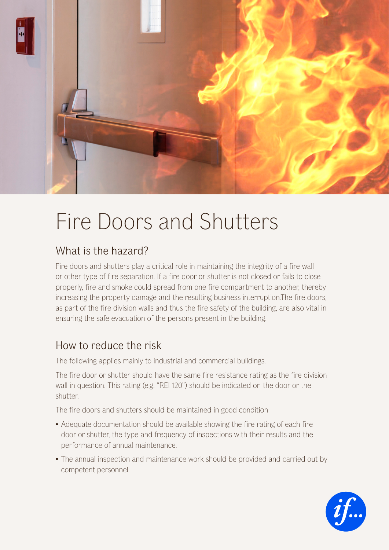

## Fire Doors and Shutters

## What is the hazard?

Fire doors and shutters play a critical role in maintaining the integrity of a fire wall or other type of fire separation. If a fire door or shutter is not closed or fails to close properly, fire and smoke could spread from one fire compartment to another, thereby increasing the property damage and the resulting business interruption.The fire doors, as part of the fire division walls and thus the fire safety of the building, are also vital in ensuring the safe evacuation of the persons present in the building.

## How to reduce the risk

The following applies mainly to industrial and commercial buildings.

The fire door or shutter should have the same fire resistance rating as the fire division wall in question. This rating (e.g. "REI 120") should be indicated on the door or the shutter.

The fire doors and shutters should be maintained in good condition

- Adequate documentation should be available showing the fire rating of each fire door or shutter, the type and frequency of inspections with their results and the performance of annual maintenance.
- The annual inspection and maintenance work should be provided and carried out by competent personnel.

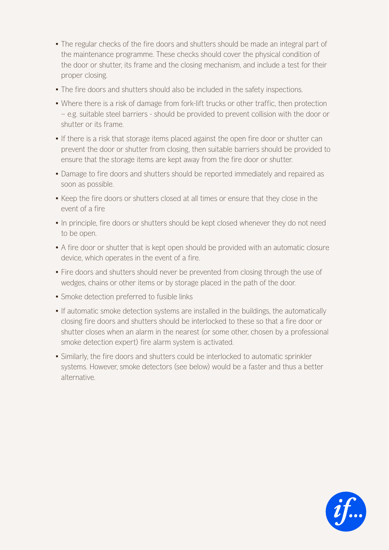- The regular checks of the fire doors and shutters should be made an integral part of the maintenance programme. These checks should cover the physical condition of the door or shutter, its frame and the closing mechanism, and include a test for their proper closing.
- The fire doors and shutters should also be included in the safety inspections.
- Where there is a risk of damage from fork-lift trucks or other traffic, then protection – e.g. suitable steel barriers - should be provided to prevent collision with the door or shutter or its frame.
- If there is a risk that storage items placed against the open fire door or shutter can prevent the door or shutter from closing, then suitable barriers should be provided to ensure that the storage items are kept away from the fire door or shutter.
- Damage to fire doors and shutters should be reported immediately and repaired as soon as possible.
- Keep the fire doors or shutters closed at all times or ensure that they close in the event of a fire
- In principle, fire doors or shutters should be kept closed whenever they do not need to be open.
- A fire door or shutter that is kept open should be provided with an automatic closure device, which operates in the event of a fire.
- Fire doors and shutters should never be prevented from closing through the use of wedges, chains or other items or by storage placed in the path of the door.
- Smoke detection preferred to fusible links
- If automatic smoke detection systems are installed in the buildings, the automatically closing fire doors and shutters should be interlocked to these so that a fire door or shutter closes when an alarm in the nearest (or some other, chosen by a professional smoke detection expert) fire alarm system is activated.
- Similarly, the fire doors and shutters could be interlocked to automatic sprinkler systems. However, smoke detectors (see below) would be a faster and thus a better alternative.